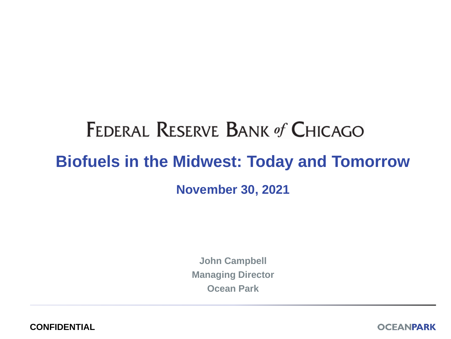# FEDERAL RESERVE BANK of CHICAGO **Biofuels in the Midwest: Today and Tomorrow November 30, 2021**

**John Campbell Managing Director Ocean Park**

**CONFIDENTIAL**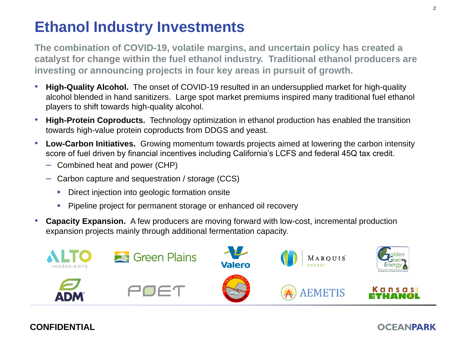### **Ethanol Industry Investments**

**The combination of COVID-19, volatile margins, and uncertain policy has created a catalyst for change within the fuel ethanol industry. Traditional ethanol producers are investing or announcing projects in four key areas in pursuit of growth.**

- **High-Quality Alcohol.** The onset of COVID-19 resulted in an undersupplied market for high-quality alcohol blended in hand sanitizers. Large spot market premiums inspired many traditional fuel ethanol players to shift towards high-quality alcohol.
- **High-Protein Coproducts.** Technology optimization in ethanol production has enabled the transition towards high-value protein coproducts from DDGS and yeast.
- **Low-Carbon Initiatives.** Growing momentum towards projects aimed at lowering the carbon intensity score of fuel driven by financial incentives including California's LCFS and federal 45Q tax credit.
	- Combined heat and power (CHP)
	- Carbon capture and sequestration / storage (CCS)
		- **EXECT** Direct injection into geologic formation onsite
		- Bipeline project for permanent storage or enhanced oil recovery
- **Capacity Expansion.** A few producers are moving forward with low-cost, incremental production expansion projects mainly through additional fermentation capacity.



### **CONFIDENTIAL**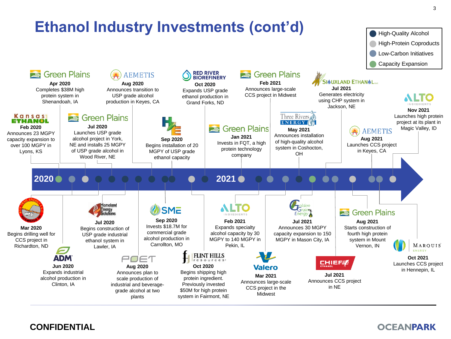### **Ethanol Industry Investments (cont'd)**





### **CONFIDENTIAL**

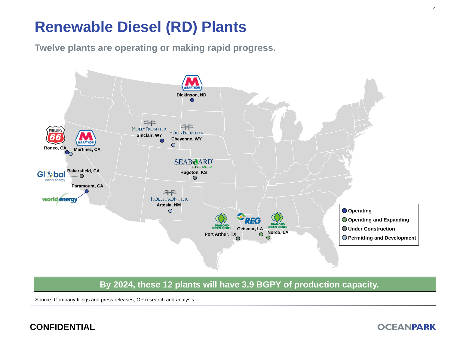### **Renewable Diesel (RD) Plants**

**Twelve plants are operating or making rapid progress.**



### **By 2024, these 12 plants will have 3.9 BGPY of production capacity.**

Source: Company filings and press releases, OP research and analysis.

### **CONFIDENTIAL**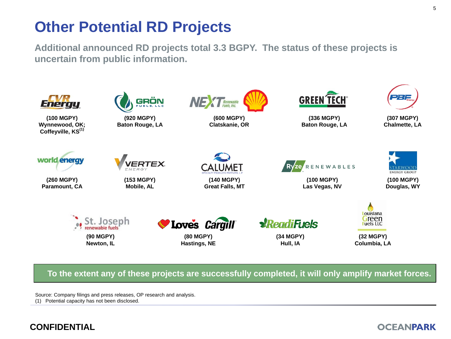### **Other Potential RD Projects**

**Additional announced RD projects total 3.3 BGPY. The status of these projects is uncertain from public information.**

![](_page_4_Figure_2.jpeg)

**To the extent any of these projects are successfully completed, it will only amplify market forces.**

Source: Company filings and press releases, OP research and analysis.

(1) Potential capacity has not been disclosed.

#### **CONFIDENTIAL**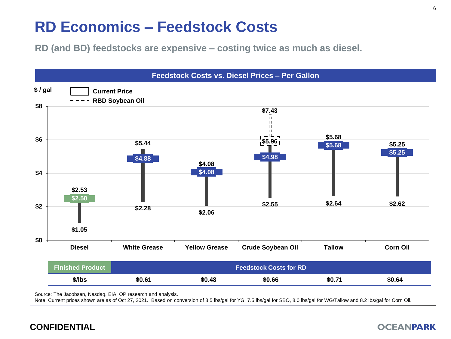### **RD Economics – Feedstock Costs**

**RD (and BD) feedstocks are expensive – costing twice as much as diesel.** 

![](_page_5_Figure_2.jpeg)

Source: The Jacobsen, Nasdaq, EIA, OP research and analysis.

Note: Current prices shown are as of Oct 27, 2021. Based on conversion of 8.5 lbs/gal for YG, 7.5 lbs/gal for SBO, 8.0 lbs/gal for WG/Tallow and 8.2 lbs/gal for Corn Oil.

### **CONFIDENTIAL**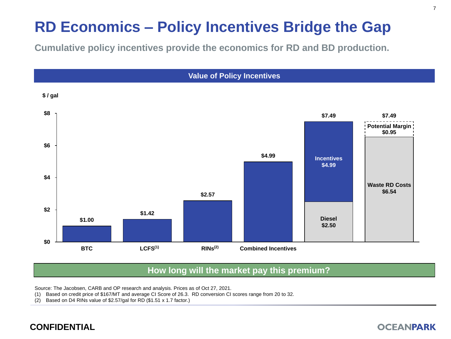## **RD Economics – Policy Incentives Bridge the Gap**

**Cumulative policy incentives provide the economics for RD and BD production.**

![](_page_6_Figure_2.jpeg)

### **How long will the market pay this premium?**

Source: The Jacobsen, CARB and OP research and analysis. Prices as of Oct 27, 2021.

- (1) Based on credit price of \$167/MT and average CI Score of 26.3. RD conversion CI scores range from 20 to 32.
- (2) Based on D4 RINs value of \$2.57/gal for RD (\$1.51 x 1.7 factor.)

### **CONFIDENTIAL**

### 7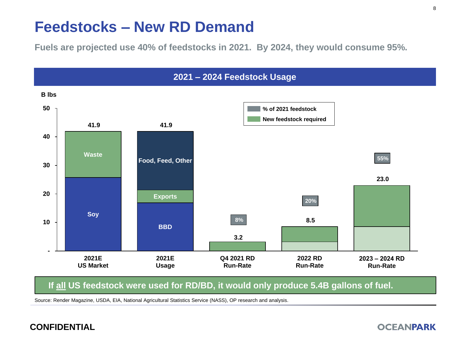### **Feedstocks – New RD Demand**

**Fuels are projected use 40% of feedstocks in 2021. By 2024, they would consume 95%.**

![](_page_7_Figure_2.jpeg)

#### **If all US feedstock were used for RD/BD, it would only produce 5.4B gallons of fuel.**

Source: Render Magazine, USDA, EIA, National Agricultural Statistics Service (NASS), OP research and analysis.

### **CONFIDENTIAL**